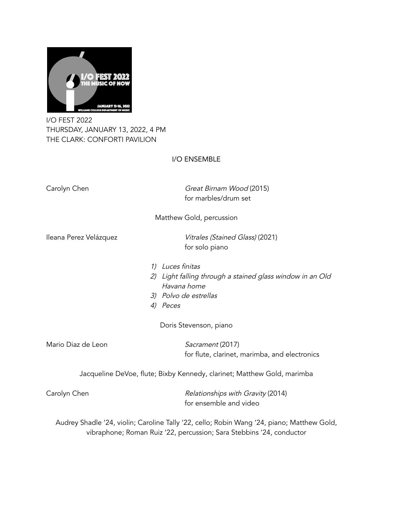

I/O FEST 2022 THURSDAY, JANUARY 13, 2022, 4 PM THE CLARK: CONFORTI PAVILION

## I/O ENSEMBLE

Carolyn Chen Great Birnam Wood (2015) for marbles/drum set Matthew Gold, percussion Ileana Perez Velázquez van anti-vitrales (Stained Glass) (2021) for solo piano 1) Luces finitas 2) Light falling through <sup>a</sup> stained glass window in an Old Havana home 3) Polvo de estrellas 4) Peces Doris Stevenson, piano Mario Diaz de Leon Sacrament (2017) for flute, clarinet, marimba, and electronics Jacqueline DeVoe, flute; Bixby Kennedy, clarinet; Matthew Gold, marimba Carolyn Chen **Carolyn Chen** Relationships with Gravity (2014) for ensemble and video Audrey Shadle '24, violin; Caroline Tally '22, cello; Robin Wang '24, piano; Matthew Gold, vibraphone; Roman Ruiz '22, percussion; Sara Stebbins '24, conductor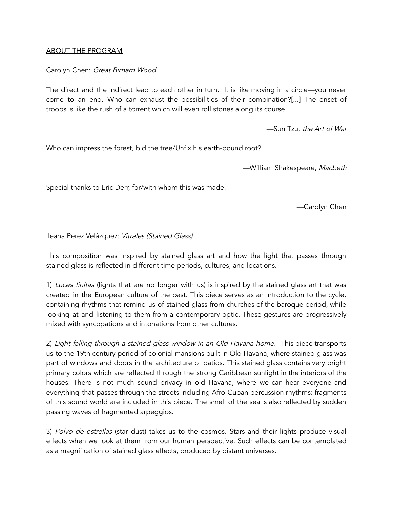### ABOUT THE PROGRAM

# Carolyn Chen: Great Birnam Wood

The direct and the indirect lead to each other in turn. It is like moving in a circle—you never come to an end. Who can exhaust the possibilities of their combination?[...] The onset of troops is like the rush of a torrent which will even roll stones along its course.

—Sun Tzu, the Art of War

Who can impress the forest, bid the tree/Unfix his earth-bound root?

—William Shakespeare, Macbeth

Special thanks to Eric Derr, for/with whom this was made.

—Carolyn Chen

Ileana Perez Velázquez: Vitrales (Stained Glass)

This composition was inspired by stained glass art and how the light that passes through stained glass is reflected in different time periods, cultures, and locations.

1) Luces finitas (lights that are no longer with us) is inspired by the stained glass art that was created in the European culture of the past. This piece serves as an introduction to the cycle, containing rhythms that remind us of stained glass from churches of the baroque period, while looking at and listening to them from a contemporary optic. These gestures are progressively mixed with syncopations and intonations from other cultures.

2) Light falling through <sup>a</sup> stained glass window in an Old Havana home. This piece transports us to the 19th century period of colonial mansions built in Old Havana, where stained glass was part of windows and doors in the architecture of patios. This stained glass contains very bright primary colors which are reflected through the strong Caribbean sunlight in the interiors of the houses. There is not much sound privacy in old Havana, where we can hear everyone and everything that passes through the streets including Afro-Cuban percussion rhythms: fragments of this sound world are included in this piece. The smell of the sea is also reflected by sudden passing waves of fragmented arpeggios.

3) Polvo de estrellas (star dust) takes us to the cosmos. Stars and their lights produce visual effects when we look at them from our human perspective. Such effects can be contemplated as a magnification of stained glass effects, produced by distant universes.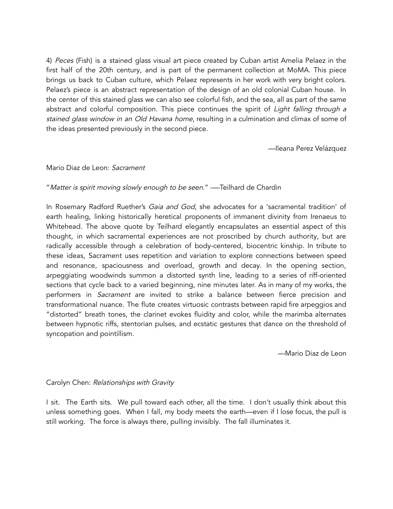4) Peces (Fish) is a stained glass visual art piece created by Cuban artist Amelia Pelaez in the first half of the 20th century, and is part of the permanent collection at MoMA. This piece brings us back to Cuban culture, which Pelaez represents in her work with very bright colors. Pelaez's piece is an abstract representation of the design of an old colonial Cuban house. In the center of this stained glass we can also see colorful fish, and the sea, all as part of the same abstract and colorful composition. This piece continues the spirit of Light falling through a stained glass window in an Old Havana home, resulting in a culmination and climax of some of the ideas presented previously in the second piece.

—Ileana Perez Velázquez

### Mario Diaz de Leon: Sacrament

## "Matter is spirit moving slowly enough to be seen." --Teilhard de Chardin

In Rosemary Radford Ruether's Gaia and God, she advocates for a 'sacramental tradition' of earth healing, linking historically heretical proponents of immanent divinity from Irenaeus to Whitehead. The above quote by Teilhard elegantly encapsulates an essential aspect of this thought, in which sacramental experiences are not proscribed by church authority, but are radically accessible through a celebration of body-centered, biocentric kinship. In tribute to these ideas, Sacrament uses repetition and variation to explore connections between speed and resonance, spaciousness and overload, growth and decay. In the opening section, arpeggiating woodwinds summon a distorted synth line, leading to a series of riff-oriented sections that cycle back to a varied beginning, nine minutes later. As in many of my works, the performers in Sacrament are invited to strike a balance between fierce precision and transformational nuance. The flute creates virtuosic contrasts between rapid fire arpeggios and "distorted" breath tones, the clarinet evokes fluidity and color, while the marimba alternates between hypnotic riffs, stentorian pulses, and ecstatic gestures that dance on the threshold of syncopation and pointillism.

—Mario Diaz de Leon

### Carolyn Chen: Relationships with Gravity

I sit. The Earth sits. We pull toward each other, all the time. I don't usually think about this unless something goes. When I fall, my body meets the earth—even if I lose focus, the pull is still working. The force is always there, pulling invisibly. The fall illuminates it.